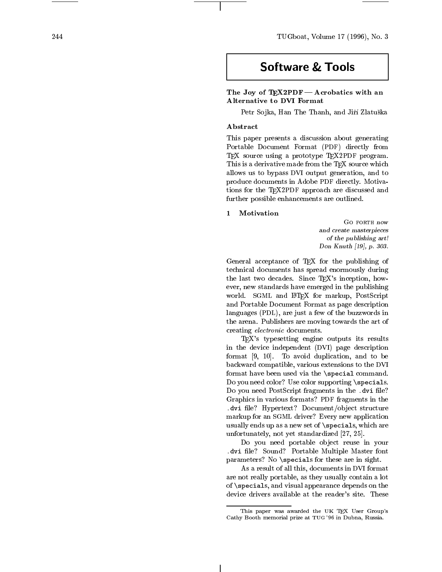244 TUGboat, Volume 17 (1996), No. 3

# **Software & Tools**

 $\mathcal{I}$  and  $\mathcal{I}$  are  $\mathcal{I}$  and  $\mathcal{I}$  and  $\mathcal{I}$  are an according with an analysis with an analysis of  $\mathcal{I}$ Alternativ e to DVI Format

Petr So jka, Han The Thanh, and Ji r Zlatu ska

# Abstract

This paper presents a discussion about generating Portable Documen t Format (PDF ) directly from TEX source using a prototype TEX2PDF program. This is a derivative made from the TEX source which we have allows us to a power go to a supply generation of the state of the state of the state of the state of the state of the state of the state of the state of the state of the state of the state of the state of the state of the produce documents in Adobe PDF directly . Motivations for the TEX2PDF approach are discussed and further possible enhancements are outlined.

# 1 Motivation

Go forth no wand create masterpiecesof the publishing art!Don Knuth [19], p. 303.

General acceptance of TEX for the publishing of technical documents has spread enormously during the last t w o decades. Since TEX's inception, how ever, new standards have emerged in the publishing world. SGML and LATEX for markup, PostScript and Portable Document Format as page description languages (PDL), are just a few of the buzzwords in the arena. Publishers are moving to the art of the art of the art of the art of the art of the art of the art o creating electronic documents.

TEX's typesetting engine outputs its results in the device independen t (DVI ) page description format [9, 10]. To a void duplication, and to be backward compatible, various extensions to the DVI format ha ve been used via the \special command. Do you need color? Use color supporting \specials. Do you need PostScript fragments in the .dvi file? Graphics in various formats? PDF fragments in the . dvi documenta documente documente do poste structure structure  $\mathcal{L}$ markup for an SGML driver? Every new application usually ends up as a new set of \specials, which are unfortunately, not yet standardized [27, 25].

Do you need portable ob ject reuse in your . all the control of the model of the sound master for the sound of the sound of the sound of the sound of the parameters? No \specials for these are in sight.

As a result of all this, documents in DVI format are not really portable, as they usually contain a lot of \specials, and visual appearance depends on the device drivers a vailable at the reader's site. These

This paper was a warded the UK TEX UserGroup's Cathy Booth memorial prize at TUG '96 in Dubna, Russia.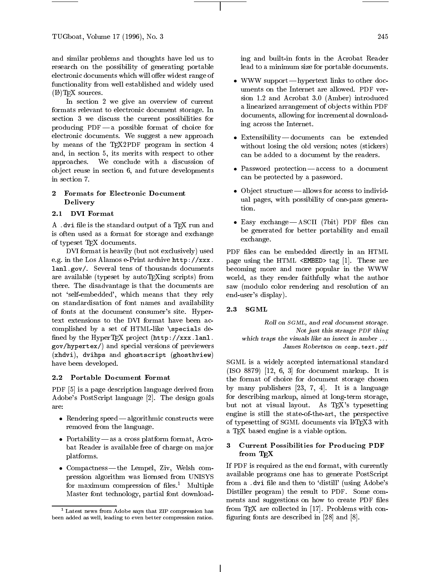and similar problems and thoughts have led us to research on the possibility of generating portable electronic documents which will offer widest range of functionality from well established and widely used  $(H)$ T<sub>F</sub>X sources.

In section 2 we give an overview of current formats relevant to electronic document storage. In section 3 we discuss the current possibilities for producing  $PDF - a$  possible format of choice for electronic documents. We suggest a new approach by means of the T<sub>E</sub>X2PDF program in section 4 and, in section 5, its merits with respect to other approaches. We conclude with a discussion of ob ject reuse in section 6, and future developments in section 7.

#### $\mathbf{2}$ 2 Formats for Electronic Document Delivery

#### 2.1 DVI Format

A .dvi file is the standard output of a TEX run and is often used as a format for storage and exchange of typeset TEX documents.

DVI format is heavily (but not exclusively) used e.g. in the Los Alamos e-Print archive http://xxx. lanl.gov/. Several tens of thousands documents are available (typeset by autoTEXing scripts) from there. The disadvantage is that the documents are not 'self-embedded', which means that they rely on standardisation of font names and availability<br>of fonts at the decument expansive site. Hence  $\frac{2.3}{1}$ of fonts at the document consumer's site. Hypertext extensions to the DVI format have been accomplished by a set of HTML-like \specials de fined by the HyperTFX project  $(\texttt{http://xxx.lan1}.$ gov/hypertex/) and special versions of previewers (xhdvi), dvihps and ghostscript (ghosthview) have been developed.

#### 2.2 Portable Document Format

PDF [5] is a page description language derived from Adobe's PostScript language [2]. The design goals

- **are:** Rendering speed algorithmic constructs were  $\qquad_{c}$ removed from the language.
	- Portability| as a cross platform format, Acrobat Reader is available free of charge on ma jor platforms.
	- Compactness| the Lempel, Ziv, Welsh compression algorithm was licensed from UNISYS for maximum compression of files.<sup>1</sup> Multiple Master font technology, partial font download-

ing and built-in fonts in the Acrobat Reader lead to a minimum size for portable documents.

- WW support to our process to other documents to other documents to other documents to other documents to other uments on the Internet are allowed. PDF version 1.2 and Acrobat 3.0 (Amber) introduced a linearized arrangement of objects within PDF documents, allowing for incremental downloading across the Internet.
- Extensibility| documents can be extended without losing the old version; notes (stickers) can be added to a document by the readers.
- Password protection| access to a document can be protected by a password.
- Ob ject structure| allows for access to individual pages, with possibility of one-pass generation.
- example and the case of the canonical contract can be a contract of the case of the case of the case of the ca be generated for better portability and email exchange.

PDF files can be embedded directly in an HTML page using the HTML <EMBED> tag [1]. These are becoming more and more popular in the WWW world, as they render faithfully what the author saw (modulo color rendering and resolution of an end-user's display).

### **SGML**

Roll on SGML, and real document storage. Not just this strange PDF thing which traps the visuals like an insect in amber... James Robertson on comp.text.pdf

SGML is a widely accepted international standard (ISO 8879) [12, 6, 3] for document markup. It is the format of choice for document storage chosen by many publishers [23, 7, 4]. It is a language for describing markup, aimed at long-term storage, but not at visual layout. As TEX's typesetting engine is still the state-of-the-art, the perspective of typesetting of SGML documents via LATEX3 with a TEX based engine is a viable option.

## 3 Current Possibilities for Producing PDF from T<sub>E</sub>X

If PDF is required as the end format, with currently available programs one has to generate PostScript from a .dvi file and then to 'distill' (using Adobe's Distiller program) the result to PDF. Some comments and suggestions on how to create PDF files from T<sub>F</sub>X are collected in [17]. Problems with configuring fonts are described in  $[28]$  and  $[8]$ .

<sup>1</sup> Latest news from Adobe says that ZIP compression has been added as well, leading to even better compression ratios.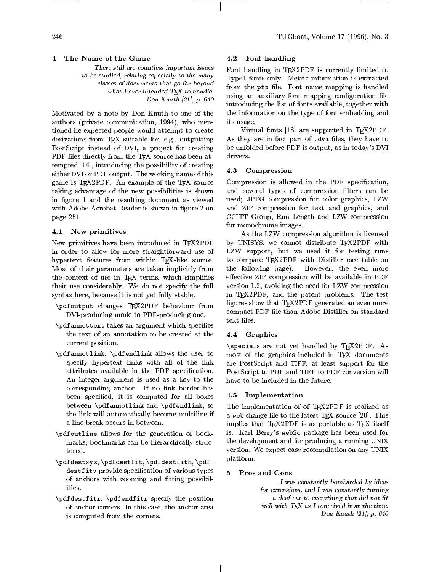$\overline{4}$ 4 The Name of the Game

> There still are countless important issuesto be studied, relating especially to the manyclasses of documents that go far beyondwhat I ever intended  $T_{F}X$  to handle. Don Knuth [21], p. 640

Motivated by a note by Don Knuth to one of the authors (private communication, 1994), who mentioned he expected people would attempt to create derivations from TEX suitable for, e.g., outputting PostScript instead of DVI, a project for creating PDF files directly from the TFX source has been attempted  $[14]$ , introducing the possibility of creating  $\frac{1}{4.3}$ either DVI or PDF output. The working name of this game is T<sub>F</sub>X2PDF. An example of the T<sub>F</sub>X source taking advantage of the new possibilities is shown in figure 1 and the resulting document as viewed with Adobe Acrobat Reader is shown in figure 2 on page 251.

#### 4.1 New primitives

New primitives have been introduced in TFX2PDF in order to allow for more straightforward use of hypertext features from within TEX-like source. Most of their parameters are taken implicitly from the following page). the context of use in TEX terms, which simplifies their use considerably. We do not specify the full syntax here, because it is not yet fully stable.

- $\mathbf{p}$  are changed to the mass of  $\mathbf{p}$  behaviour from the from the from the second from the second from the second from the second from the second from the second from the second from the second from the second from DVI-producing mode to PDF-producing one.
- $\sqrt{p}$  are an arguments and arguments which specifies specified specifies are arguments. the text of an annotation to be created at the current position.
- \pdfannotlink, \pdfendlink allows the user to specify hypertext links with all of the link attributes available in the PDF specification. An integer argument is used as a key to the corresponding anchor. If no link border has been specified, it is computed for all boxes between \pdfannotlink and \pdfendlink, so the link will automatically become multiline if a line break occurs in between.
- $\eta$  and the allows for the generation of  $\eta$  the state of  $\eta$ marks; bookmarks can be hierarchically structured.
- \pdfdestxyz, \pdfdestfit, \pdfdestfith, \pdfdestitution provide specification of various types and various types and various types and various types and v of anchors with zooming and fitting possibilities.
- \pdfdestfitr, \pdfendfitr specify the position of anchor corners. In this case, the anchor area is computed from the corners.

#### 4.2 Font handling

 Font handling in TEX2PDF is currently limited to Type1 fonts only. Metric information is extracted from the pfb le. Font name mapping is handled introducing the list of fonts available, together with using an auxiliary font mapping configuration file the information on the type of font embedding and its usage.

Virtual fonts [18] are supported in TEX2PDF. As they are in fact part of .dvi files, they have to be unfolded before PDF is output, as in today's DVI drivers.

### **Compression**

Compression is allowed in the PDF specification, and several types of compression filters can be used; JPEG compression for color graphics, LZW and ZIP compression for text and graphics, and CCITT Group, Run Length and LZW compression for monochrome images.

As the LZW compression algorithm is licensed by UNISYS, we cannot distribute TEX2PDF with LZW support, but we used it for testing runs to compare TEX2PDF with Distiller (see table on However, the even more effective ZIP compression will be available in PDF version 1.2, avoiding the need for LZW compression in TEX2PDF, and the patent problems. The test figures show that TFX2PDF generated an even more compact PDF file than Adobe Distiller on standard text files.

#### 4.4 Graphics

\specials are not yet handled by TEX2PDF. As most of the graphics included in TEX documents are PostScript and TIFF, at least support for the PostScript to PDF and TIFF to PDF conversion will have to be included in the future.

#### 4.5 Implementation

The implementation of of TEX2PDF is realized as a web change file to the latest  $T$ FX source [20]. This implies that TEX2PDF is as portable as TEX itself is. Karl Berry's web2c package has been used for the development and for producing a running UNIX version. We expect easy recompilation on any UNIX platform.

#### 5 Pros and Cons

I was constantly bombarded by ideasfor extensions, and I was constantly turninga deaf ear to everything that did not fit well with TEX as I conceived it at the time. Don Knuth [21], p. 640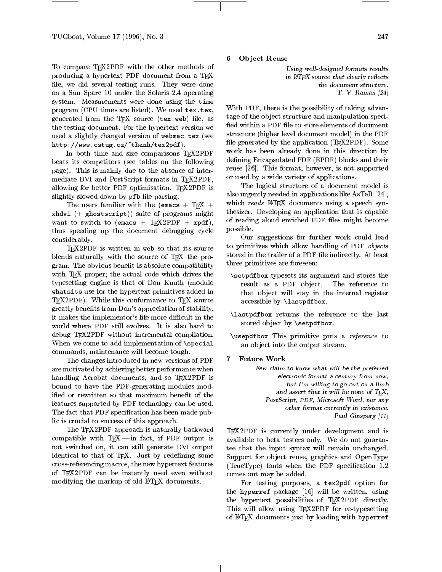To compare TEX2PDF with the other methods of producing a hypertext PDF document from a TEX file, we did several testing runs. They were done on a Sun Sparc 10 under the Solaris 2.4 operating system. Measurements were done using the time program (CPU times are listed). We used tex.tex, generated from the TEX source (tex.web) file, as the testing document. For the hypertext version we used a slightly changed version of webmac.tex (see http://www.cstug.cz/~thanh/tex2pdf).

In both time and size comparisons T<sub>F</sub>X2PDF beats its competitors (see tables on the following page). This is mainly due to the absence of intermediate DVI and PostScript formats in TEX2PDF, allowing for better PDF optimisation. TFX2PDF is slightly slowed down by pfb file parsing.

The users familiar with the (emacs + TEX + xhdvi (+ ghostscript)) suite of programs might want to switch to (emacs + TEX2PDF + xpdf), thus speeding up the document debugging cycle considerably.

TEX2PDF is written in web so that its source blends naturally with the source of T<sub>EX</sub> the program. The obvious benefit is absolute compatibility with T<sub>E</sub>X proper; the actual code which drives the typesetting engine is that of Don Knuth (modulo whetsits use for the hypertext primitives added in the  $\sim$ TEX2PDF). While this conformance to TEX source greatly benefits from Don's appreciation of stability, it makes the implementor's life more difficult in the world where PDF still evolves. It is also hard to debug TFX2PDF without incremental compilation. When we come to add implementation of \special commands, maintenance will become tough.

The changes introduced in new versions of PDF are motivated by achieving better performance when handling Acrobat documents, and so TEX2PDF is bound to have the PDF-generating modules modified or rewritten so that maximum benefit of the features supported by PDF technology can be used. The fact that PDF specification has been made public is crucial to success of this approach.

The T<sub>E</sub>X2PDF approach is naturally backward compatible with  $TEX - in$  fact, if PDF output is not switched on, it can still generate DVI output identical to that of T<sub>E</sub>X. Just by redefining some cross-referencing macros, the new hypertext features of TEX2PDF can be instantly used even without modifying the markup of old IATFX documents.

6 Object Reuse

> Using well-designed formats resultsin  $BTFX$  source that clearly reflects the document structure.T. V. Raman [24]

With PDF, there is the possibility of taking advantage of the object structure and manipulation specified within a PDF file to store elements of document structure (higher level document model) in the PDF file generated by the application (T<sub>E</sub>X2PDF). Some work has been already done in this direction by dening Encapsulated PDF (EPDF) blocks and their reuse [26]. This format, however, is not supported or used by a wide variety of applications.

The logical structure of a document model is also urgently needed in applications like AsTeR [24], which reads LATEX documents using a speech synthesizer. Developing an application that is capable of reading aloud enriched PDF files might become possible.

Our suggestions for further work could lead to primitives which allow handling of PDF objects stored in the trailer of a PDF file indirectly. At least three primitives are foreseen:

- $\lambda$  the state is a store that are stores the stores the stores the stores the stores the stores the stores the stores the stores the stores that is a store that is a store that is a store of the store that is a store of result as a PDF object. The reference to that ob ject will stay in the internal register accessible by \lastpdfbox.
- $\sum_{i=1}^{n}$ stored object by  $\setminus$  setpdfbox.
- $\mathcal{L}$  This primitive primitive puts a reference to reference to  $\mathcal{L}$ an object into the output stream.
- **Future Work** 7

Few claim to know what will be the preferredelectronic format a century from now,but<sup>I</sup>'m willing to go out on a limband assert that it will be none of  $T_{E}X$ , rostScript, PDF, Microsoft Word, nor any other format currently in existence.Paul Ginsparg [11]

TEX2PDF is currently under development and is available to beta testers only. We do not guarantee that the input syntax will remain unchanged. Support for object reuse, graphics and OpenType (TrueType) fonts when the PDF specication 1.2 comes out may be added.

For testing purposes, a tex2pdf option for the hyperref package [16] will be written, using the hypertext possibilities of TEX2PDF directly. This will allow using TEX2PDF for re-typesetting of LATEX documents just by loading with hyperref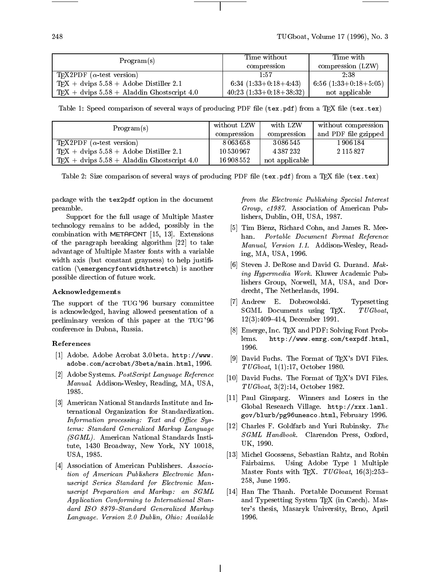| Program(s)                                                   | Time without<br>compression | Time with<br>compression (LZW) |
|--------------------------------------------------------------|-----------------------------|--------------------------------|
| T <sub>E</sub> X2PDF ( $\alpha$ -test version)               | 1:57                        | 2:38                           |
| $TEX + \text{dvips } 5.58 + \text{ Adobe Distiller } 2.1$    | 6:34 $(1:33+0:18+4:43)$     | 6:56 $(1:33+0:18+5:05)$        |
| $TFX + \text{dvips } 5.58 + \text{Aladdin Ghostscript } 4.0$ | $40:23$ $(1:33+0:18+38:32)$ | not applicable                 |

Table 1: Speed comparison of several ways of producing PDF file (tex.pdf) from a T<sub>F</sub>X file (tex.tex)

| Program(s)                                                   | without LZW | with LZW       | without compression  |
|--------------------------------------------------------------|-------------|----------------|----------------------|
|                                                              | compression | compression    | and PDF file gzipped |
| T <sub>F</sub> X2PDF ( $\alpha$ -test version)               | 8063658     | 3086545        | 1906184              |
| $TFX + \text{dvips } 5.58 + \text{ Adobe Distiller } 2.1$    | 10530967    | 4387232        | 2 1 1 5 8 2 7        |
| $TFX + \text{dvips } 5.58 + \text{Aladdin Ghostscript } 4.0$ | 16 908 552  | not applicable |                      |

Table 2: Size comparison of several ways of producing PDF file (tex.pdf) from a T<sub>E</sub>X file (tex.tex)

package with the tex2pdf option in the document preamble.

Support for the full usage of Multiple Master technology remains to be added, possibly in the combination with METAFONT [15, 13]. Extensions of the paragraph breaking algorithm [22] to take advantage of Multiple Master fonts with a variable width axis (but constant grayness) to help justification (\emergencyfontwidthstretch) is another possible direction of future work.

#### Acknowledgements

The support of the TUG '96 bursary committee is acknowledged, having allowed presentation of a preliminary version of this paper at the TUG '96 conference in Dubna, Russia.

#### References

- [1] Adobe. Adobe Acrobat 3.0 beta. http://www. adobe.com/acrobat/3beta/main.html, 1996.
- [2] Adobe Systems. PostScript Language Reference Manual. Addison-Wesley, Reading, MA, USA,
- [3] American National Standards Institute and International Organization for Standardization. Information processing: Text and Office Systems: Standard Generalized Markup Language (SGML). American National Standards Institute, 1430 Broadway, New York, NY 10018, USA, 1985.
- [4] Association of American Publishers. Association of American Publishers Electronic Manuscript Series Standard for Electronic Manuscript Preparation and Markup: an SGML Application Conforming to International Standard ISO 8879-Standard Generalized Markup Language. Version 2.0 Dublin, Ohio: Available

from the Electronic Publishing Special Interest Group, c1987. Association of American Publishers, Dublin, OH, USA, 1987.

- [5] Tim Bienz, Richard Cohn, and James R. Mee-Portable Document Format Reference han. Manual, Version 1.1. Addison-Wesley, Reading, MA, USA, 1996.
- [6] Steven J. DeRose and David G. Durand. Making Hypermedia Work. Kluwer Academic Publishers Group, Norwell, MA, USA, and Dordrecht, The Netherlands, 1994.
- [7] Andrew E. Dobrowolski. Typesetting SGML Documents using TFX. TUGboat, 12(3):409-414, December 1991.
- [8] Emerge, Inc. TFX and PDF: Solving Font Problems. http://www.emrg.com/texpdf.html, 1996.
- [9] David Fuchs. The Format of T<sub>F</sub>X's DVI Files. TUGboat, 1(1):17, October 1980.
- [10] David Fuchs. The Format of TFX's DVI Files. TUGboat, 3(2):14, October 1982.
- [11] Paul Ginsparg. Winners and Losers in the Global Research Village. http://xxx.lanl. gov/blurb/pg96unesco.html, February 1996.
- [12] Charles F. Goldfarb and Yuri Rubinsky. The SGML Handbook. Clarendon Press, Oxford, UK, 1990.
- [13] Michel Goossens, Sebastian Rahtz, and Robin Fairbairns. Using Adobe Type 1 Multiple Master Fonts with TFX.  $TUGboat$ , 16(3):253-258, June 1995.
- [14] Han The Thanh. Portable Document Format and Typesetting System TEX (in Czech). Master's thesis, Masaryk University, Brno, April 1996.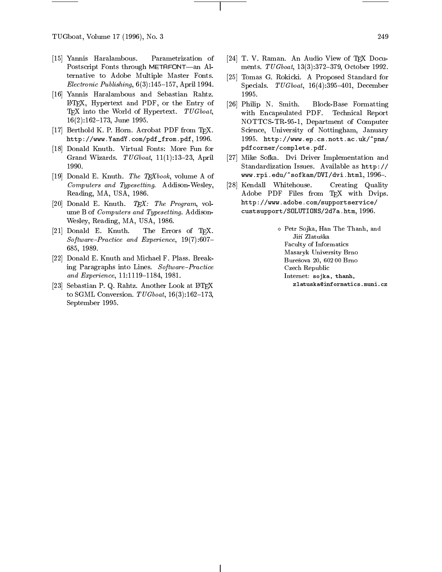TUGboat, Volume 17 (1996), No. 3 249

- [15] Yannis Haralambous. Parametrization of Postscript Fonts through METAFONT-an Alternative to Adobe Multiple Master Fonts. Electronic Publishing,  $6(3):145-157$ , April 1994.
- [16] Yannis Haralambous and Sebastian Rahtz. LATEX, Hypertext and PDF, or the Entry of [26] Philip N. Smith. TFX into the World of Hypertext. TUGboat,  $16(2):162-173$ , June 1995.
- [17] Berthold K. P. Horn. Acrobat PDF from TEX. http://www.YandY.com/pdf\_from.pdf, 1996.
- [18] Donald Knuth. Virtual Fonts: More Fun for Grand Wizards.  $TUGboat$ , 11(1):13-23, April 1990.
- [19] Donald E. Knuth. *The TEXbook*, volume A of Computers and Typesetting. Addison-Wesley, Reading, MA, USA, 1986.
- [20] Donald E. Knuth.  $TFX:$  The Program, volume B of Computers and Typesetting. Addison-Wesley, Reading, MA, USA, 1986.
- [21] Donald E. Knuth. The Errors of TFX.  $Software-Practice$  and Experience, 19(7):607-685, 1989.
- [22] Donald E. Knuth and Michael F. Plass. Breaking Paragraphs into Lines.  $Software-Practice$ and Experience, 11:1119-1184, 1981.
- [23] Sebastian P. Q. Rahtz. Another Look at IATEX to SGML Conversion.  $TUGboat$ , 16(3):162-173, September 1995.
- [24] T. V. Raman. An Audio View of TEX Documents. TUGboat, 13(3):372-379, October 1992.
- [25] Tomas G. Rokicki. A Proposed Standard for Specials.  $TUGboat$ , 16(4):395-401, December 1995.
- [26] Philip N. Smith. Block-Base Formatting with Encapsulated PDF. Technical Report NOTTCS-TR-95-1, Department of Computer Science, University of Nottingham, January 1995. http://www.ep.cs.nott.ac.uk/~pns/ pdfcorner/complete.pdf.
- [27] Mike Sofka. Dvi Driver Implementation and Standardization Issues. Available as http://  $www.rpi.edu/~sofkam/DVI/dvi.html, 1996-.$
- [28] Kendall Whitehouse. Creating Quality Adobe PDF Files from TEX with Dvips. http://www.adobe.com/supportservice/custsupport/SOLUTIONS/2d7a.htm, 1996.

Petr So in So jeans, Hannes The The Theorem , and the Theorem , and the Theorem , and the Theorem , and the Th Jiří Zlatuška Faculty of Informatics Masaryk University Brno Buresova 20, 602 00 Brno Czech Republic Internet: sojka, thanh, zlatuska@informatics.muni.cz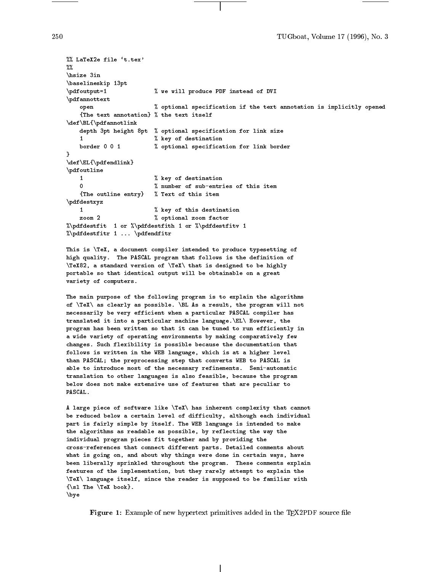250 TUGboat, Volume 17 (1996), No. 3

```
%% LaTeX2e file `t.tex'
7.7.%%
\hsize 3in
\baselineskip 13pt
\pdfoutput=1 % we will produce PDF instead of DVI
\pdfannottext
   open % optional specification if the text annotation is implicitly opened
   {The text annotation} % the text itself
\def\BL{\pdfannotlink
   depth 3pt height 8pt % optional specification for link size
   \mathbf{1}% key of destination
   border 0 0 1 % optional specification for link border
Y
}
\def\E{\phi\end{link}\pdfoutline
   \mathbf{1}% key of destination
   \Omega% number of sub-entries of this item
   {The outline entry} % Text of this item
\pdfdestxyz
   \blacksquare% key of this destination
   zoom 2 % optional zoom factor
%\pdfdestfit 1 or %\pdfdestfith 1 or %\pdfdestfitv 1
%\pdfdestfitr 1 ... \pdfendfitr
```
This is \TeX, a document compiler intended to produce typesetting of high quality. The PASCAL program that follows is the definition of \TeX82, a standard version of \TeX\ that is designed to be highly portable so that identical output will be obtainable on a great variety of computers.

The main purpose of the following program is to explain the algorithms of \TeX\ as clearly as possible. \BL As a result, the program will not necessarily be very efficient when a particular PASCAL compiler has translated it into a particular machine language.\EL\ However, the program has been written so that it can be tuned to run efficiently in a wide variety of operating environments by making comparatively few changes. Such flexibility is possible because the documentation that follows is written in the WEB language, which is at a higher level than PASCAL; the preprocessing step that converts WEB to PASCAL is able to introduce most of the necessary refinements. Semi-automatic translation to other languages is also feasible, because the program below does not make extensive use of features that are peculiar to PASCAL.

A large piece of software like \TeX\ has inherent complexity that cannot be reduced below a certain level of difficulty, although each individual part is fairly simple by itself. The WEB language is intended to make the algorithms as readable as possible, by reflecting the way the individual program pieces fit together and by providing the cross-references that connect different parts. Detailed comments about what is going on, and about why things were done in certain ways, have been liberally sprinkled throughout the program. These comments explain features of the implementation, but they rarely attempt to explain the \TeX\ language itself, since the reader is supposed to be familiar with  ${\succeq}$  The  ${\sf TeX}$  book}. \bye

Figure 1: Example of new hypertext primitives added in the TFX2PDF source file

250